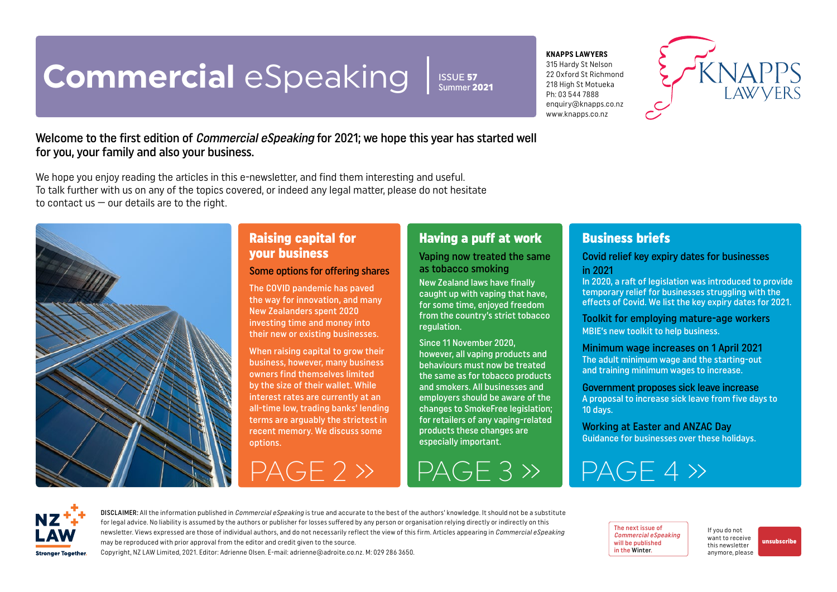# <span id="page-0-0"></span>**Commercial** eSpeaking

ISSUE 57 Summer 2021

#### **KNAPPS LAWYERS**

315 Hardy St Nelson 22 Oxford St Richmond 218 High St Motueka Ph: 03 544 7888 enquiry@knapps.co.nz www.knapps.co.nz



#### Welcome to the first edition of *Commercial eSpeaking* for 2021; we hope this year has started well for you, your family and also your business.

We hope you enjoy reading the articles in this e-newsletter, and find them interesting and useful. To talk further with us on any of the topics covered, or indeed any legal matter, please do not hesitate to contact us  $-$  our details are to the right.



### Raising capital for your business

Some options for offering shares

The COVID pandemic has paved the way for innovation, and many New Zealanders spent 2020 investing time and money into their new or existing businesses.

When raising capital to grow their business, however, many business owners find themselves limited by the size of their wallet. While interest rates are currently at an all-time low, trading banks' lending terms are arguably the strictest in recent memory. We discuss some options.

#### Having a puff at work

Vaping now treated the same as tobacco smoking

New Zealand laws have finally caught up with vaping that have, for some time, enjoyed freedom from the country's strict tobacco regulation.

Since 11 November 2020, however, all vaping products and behaviours must now be treated the same as for tobacco products and smokers. All businesses and employers should be aware of the changes to SmokeFree legislation; for retailers of any vaping-related products these changes are especially important.

 $PAGE 2 \gg$  PAGE 3  $\gg$  PAGE 4  $\gg$ 

#### Business briefs

#### Covid relief key expiry dates for businesses in 2021

In 2020, a raft of legislation was introduced to provide temporary relief for businesses struggling with the effects of Covid. We list the key expiry dates for 2021.

Toolkit for employing mature-age workers MBIE's new toolkit to help business.

#### Minimum wage increases on 1 April 2021

The adult minimum wage and the starting-out and training minimum wages to increase.

Government proposes sick leave increase A proposal to increase sick leave from five days to  $10$  days.

Working at Easter and ANZAC Day Guidance for businesses over these holidays.

**Stronger Together** 

DISCLAIMER: All the information published in *Commercial eSpeaking* is true and accurate to the best of the authors' knowledge. It should not be a substitute for legal advice. No liability is assumed by the authors or publisher for losses suffered by any person or organisation relying directly or indirectly on this newsletter. Views expressed are those of individual authors, and do not necessarily reflect the view of this firm. Articles appearing in Commercial eSpeaking may be reproduced with prior approval from the editor and credit given to the source. Copyright, NZ LAW Limited, 2021. Editor: Adrienne Olsen. [E-mail: adrienne@adroite.co.nz.](mailto:adrienne@adroite.co.nz) M: 029 286 3650.

The next issue of Commercial eSpeaking will be published in the Winter.

If you do not want to receive this newsletter anymore, please

[unsubscribe](mailto:adrienne%40adroite.co.nz?subject=Commercial%20eSpeaking%20-%20unsubscribe%20me%20please)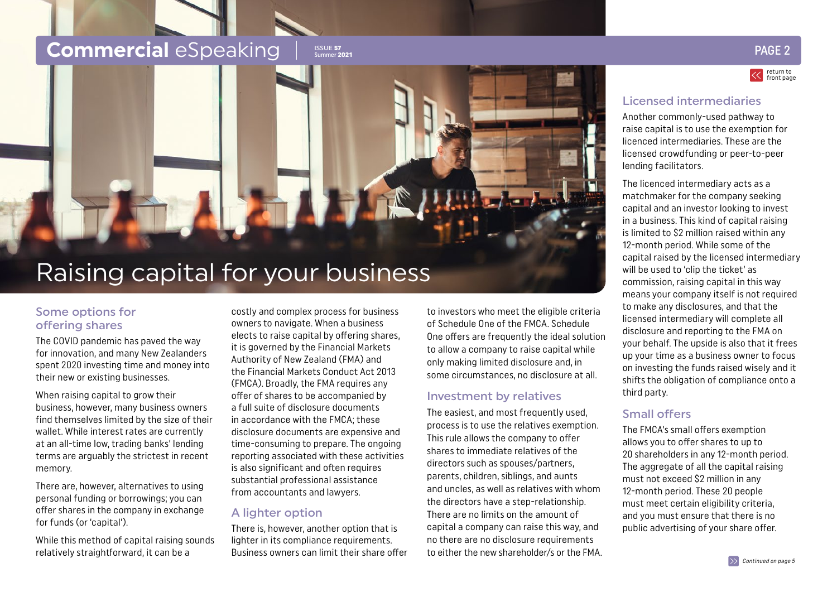## <span id="page-1-0"></span>**Commercial** eSpeaking Issue 57

### Summer <sup>2021</sup> PAGE 2

return to [front page](#page-0-0)

#### Licensed intermediaries

Another commonly-used pathway to raise capital is to use the exemption for licenced intermediaries. These are the licensed crowdfunding or peer-to-peer lending facilitators.

The licenced intermediary acts as a matchmaker for the company seeking capital and an investor looking to invest in a business. This kind of capital raising is limited to \$2 million raised within any 12-month period. While some of the capital raised by the licensed intermediary will be used to 'clip the ticket' as commission, raising capital in this way means your company itself is not required to make any disclosures, and that the licensed intermediary will complete all disclosure and reporting to the FMA on your behalf. The upside is also that it frees up your time as a business owner to focus on investing the funds raised wisely and it shifts the obligation of compliance onto a third party.

#### Small offers

The FMCA's small offers exemption allows you to offer shares to up to 20 shareholders in any 12-month period. The aggregate of all the capital raising must not exceed \$2 million in any 12-month period. These 20 people must meet certain eligibility criteria, and you must ensure that there is no public advertising of your share offer.

## Raising capital for your business

#### Some options for offering shares

The COVID pandemic has paved the way for innovation, and many New Zealanders spent 2020 investing time and money into their new or existing businesses.

When raising capital to grow their business, however, many business owners find themselves limited by the size of their wallet. While interest rates are currently at an all-time low, trading banks' lending terms are arguably the strictest in recent memory.

There are, however, alternatives to using personal funding or borrowings; you can offer shares in the company in exchange for funds (or 'capital').

While this method of capital raising sounds relatively straightforward, it can be a

costly and complex process for business owners to navigate. When a business elects to raise capital by offering shares, it is governed by the Financial Markets Authority of New Zealand (FMA) and the Financial Markets Conduct Act 2013 (FMCA). Broadly, the FMA requires any offer of shares to be accompanied by a full suite of disclosure documents in accordance with the FMCA; these disclosure documents are expensive and time-consuming to prepare. The ongoing reporting associated with these activities is also significant and often requires substantial professional assistance from accountants and lawyers.

#### A lighter option

There is, however, another option that is lighter in its compliance requirements. Business owners can limit their share offer

to investors who meet the eligible criteria of Schedule One of the FMCA. Schedule One offers are frequently the ideal solution to allow a company to raise capital while only making limited disclosure and, in some circumstances, no disclosure at all.

#### Investment by relatives

The easiest, and most frequently used, process is to use the relatives exemption. This rule allows the company to offer shares to immediate relatives of the directors such as spouses/partners, parents, children, siblings, and aunts and uncles, as well as relatives with whom the directors have a step-relationship. There are no limits on the amount of capital a company can raise this way, and no there are no disclosure requirements to either the new shareholder/s or the FMA.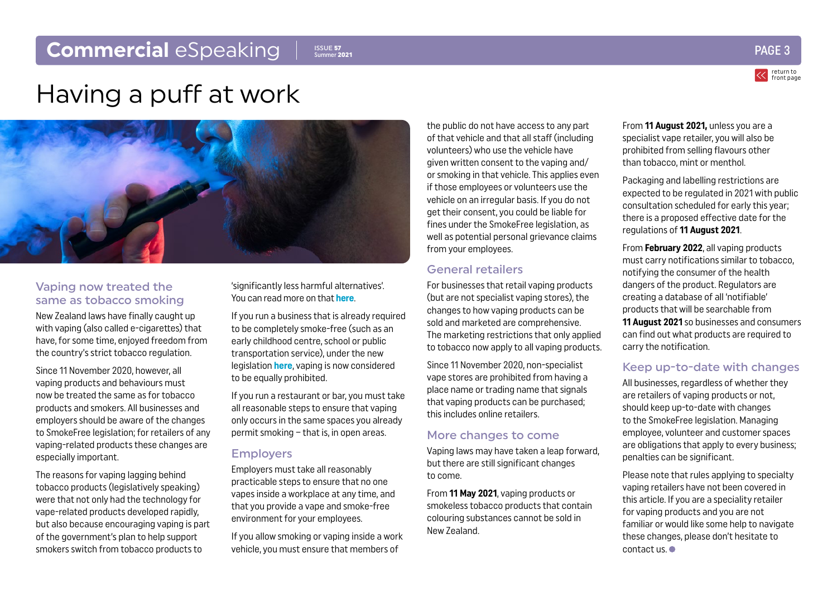### <span id="page-2-0"></span>**Commercial** eSpeaking

ISSUE 57 Summer 2021



return to [front page](#page-0-0)

## Having a puff at work



#### Vaping now treated the same as tobacco smoking

New Zealand laws have finally caught up with vaping (also called e-cigarettes) that have, for some time, enjoyed freedom from the country's strict tobacco regulation.

Since 11 November 2020, however, all vaping products and behaviours must now be treated the same as for tobacco products and smokers. All businesses and employers should be aware of the changes to SmokeFree legislation; for retailers of any vaping-related products these changes are especially important.

The reasons for vaping lagging behind tobacco products (legislatively speaking) were that not only had the technology for vape-related products developed rapidly, but also because encouraging vaping is part of the government's plan to help support smokers switch from tobacco products to

'significantly less harmful alternatives'. You can read more on that **[here](https://www.health.govt.nz/system/files/documents/pages/supporting-smokers-switch-to-significantly-less-harmful-alternatives-21nov2018-redacted.pdf)**.

If you run a business that is already required to be completely smoke-free (such as an early childhood centre, school or public transportation service), under the new legislation **[here](https://www.health.govt.nz/our-work/preventative-health-wellness/tobacco-control/vaping-smokefree-environments-and-regulated-products)**, vaping is now considered to be equally prohibited.

If you run a restaurant or bar, you must take all reasonable steps to ensure that vaping only occurs in the same spaces you already permit smoking – that is, in open areas.

#### Employers

Employers must take all reasonably practicable steps to ensure that no one vapes inside a workplace at any time, and that you provide a vape and smoke-free environment for your employees.

If you allow smoking or vaping inside a work vehicle, you must ensure that members of

the public do not have access to any part of that vehicle and that all staff (including volunteers) who use the vehicle have given written consent to the vaping and/ or smoking in that vehicle. This applies even if those employees or volunteers use the vehicle on an irregular basis. If you do not get their consent, you could be liable for fines under the SmokeFree legislation, as well as potential personal grievance claims from your employees.

#### General retailers

For businesses that retail vaping products (but are not specialist vaping stores), the changes to how vaping products can be sold and marketed are comprehensive. The marketing restrictions that only applied to tobacco now apply to all vaping products.

Since 11 November 2020, non-specialist vape stores are prohibited from having a place name or trading name that signals that vaping products can be purchased; this includes online retailers.

#### More changes to come

Vaping laws may have taken a leap forward, but there are still significant changes to come.

From **11 May 2021**, vaping products or smokeless tobacco products that contain colouring substances cannot be sold in New Zealand.

From **11 August 2021,** unless you are a specialist vape retailer, you will also be prohibited from selling flavours other than tobacco, mint or menthol.

Packaging and labelling restrictions are expected to be regulated in 2021 with public consultation scheduled for early this year; there is a proposed effective date for the regulations of **11 August 2021**.

From **February 2022**, all vaping products must carry notifications similar to tobacco, notifying the consumer of the health dangers of the product. Regulators are creating a database of all 'notifiable' products that will be searchable from **11 August 2021** so businesses and consumers can find out what products are required to carry the notification.

#### Keep up-to-date with changes

All businesses, regardless of whether they are retailers of vaping products or not, should keep up-to-date with changes to the SmokeFree legislation. Managing employee, volunteer and customer spaces are obligations that apply to every business; penalties can be significant.

Please note that rules applying to specialty vaping retailers have not been covered in this article. If you are a speciality retailer for vaping products and you are not familiar or would like some help to navigate these changes, please don't hesitate to contact us.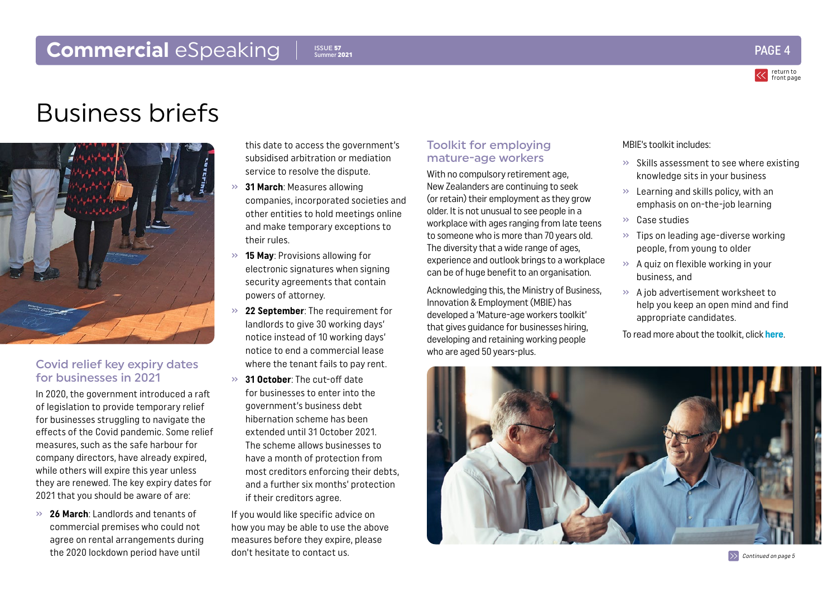### <span id="page-3-0"></span>**Commercial** eSpeaking PAGE 4 Summer 2021 **PAGE 4**  $\frac{1}{2}$

#### ISSUE 57 Summer 2021



## Business briefs



#### Covid relief key expiry dates for businesses in 2021

In 2020, the government introduced a raft of legislation to provide temporary relief for businesses struggling to navigate the effects of the Covid pandemic. Some relief measures, such as the safe harbour for company directors, have already expired, while others will expire this year unless they are renewed. The key expiry dates for 2021 that you should be aware of are:

» **26 March**: Landlords and tenants of commercial premises who could not agree on rental arrangements during the 2020 lockdown period have until

this date to access the government's subsidised arbitration or mediation service to resolve the dispute.

- » **31 March**: Measures allowing companies, incorporated societies and other entities to hold meetings online and make temporary exceptions to their rules.
- » **15 May**: Provisions allowing for electronic signatures when signing security agreements that contain powers of attorney.
- » **22 September**: The requirement for landlords to give 30 working days' notice instead of 10 working days' notice to end a commercial lease where the tenant fails to pay rent.
- » **31 October**: The cut-off date for businesses to enter into the government's business debt hibernation scheme has been extended until 31 October 2021. The scheme allows businesses to have a month of protection from most creditors enforcing their debts, and a further six months' protection if their creditors agree.

If you would like specific advice on how you may be able to use the above measures before they expire, please don't hesitate to contact us.

#### Toolkit for employing mature-age workers

With no compulsory retirement age, New Zealanders are continuing to seek (or retain) their employment as they grow older. It is not unusual to see people in a workplace with ages ranging from late teens to someone who is more than 70 years old. The diversity that a wide range of ages, experience and outlook brings to a workplace can be of huge benefit to an organisation.

Acknowledging this, the Ministry of Business, Innovation & Employment (MBIE) has developed a 'Mature-age workers toolkit' that gives guidance for businesses hiring, developing and retaining working people who are aged 50 years-plus.

#### MBIE's toolkit includes:

- » Skills assessment to see where existing knowledge sits in your business
- $\gg$  Learning and skills policy, with an emphasis on on-the-job learning
- » Case studies
- » Tips on leading age-diverse working people, from young to older
- » A quiz on flexible working in your business, and
- » A job advertisement worksheet to help you keep an open mind and find appropriate candidates.

To read more about the toolkit, click **[here](https://www.business.govt.nz/mature-workers-toolkit/)**.

 $\gg$  [Continued on page 5](#page-4-0)